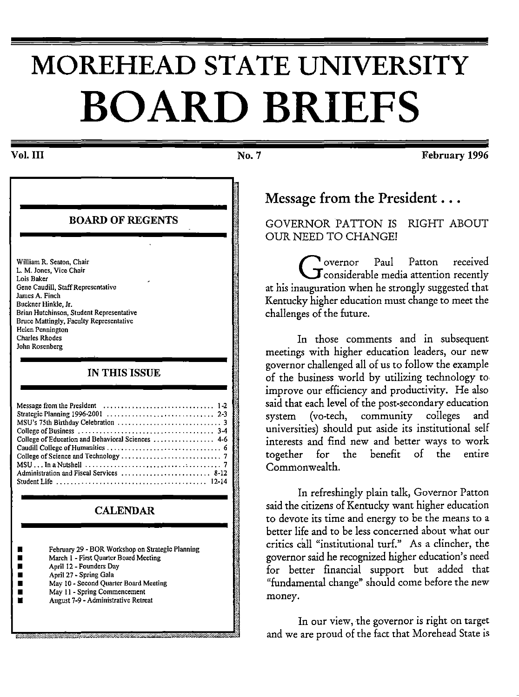# **MOREHEAD STATE UNIVERSITY BOARD BRIEFS**

### Vol. III

BOARD OF REGENTS William R. Seaton, Chair L. M. Jones, Vice Chair Lois Baker Gene Caudill, Staff Representative James A. Finch Buckner Hinkle, Jr. Brian Hutchinson, Student Representative Bruce Mattingly, Faculty Representative Helen Pennington Charles Rhodes John Rosenberg IN THIS ISSUE Ii ~: ~: ~: Message from the President . . . . . . . . . . . . . . . . . . . . . . . . . . . . . . . 1-2 ~ .. SMtrSaUte,gic75 1hanB~,rth·ngdl99C6-21 Ob01 1 3 ,:.: .. ~ s 1 ay eera1on .............................. . ................•..•.......•..• 2-3 College of Business  $\dots\dots\dots\dots\dots\dots\dots\dots\dots\dots\dots\dots\dots\dots$  3-4 College of Education and Behavioral Sciences ................... 4-6 Caudill College of Humanities ................................ 6 '"' College of Science and Technology  $\dots\dots\dots\dots\dots\dots\dots\dots\dots$  7 MSU ... In a Nutshell ............................ , ......... 7 I Administration and Fiscal Services ......................... 8-12 ~= Student Life .......................................... 12-14 t  $\lambda$ CALENDAR • February 29 - BOR Workshop on Strategic Planning March 1 - First Quarter Board Meeting • April 12 - Founders Day **• April 27 - Spring Gala** • May 10 - Second Quarter Board Meeting<br>• May 11 - Spring Commencement • May 11 - Spring Commencement August 7-9 - Administrative Retreat

""~"·"'''\*"'"'""'"""'·'~"'·"'' •'-'-""·' , •' "" w "'""'\_,.\_..J

No. 7

February 1996

# Message from the President ...

GOVERNOR PATTON IS RIGHT ABOUT OUR NEED TO CHANGE!

Governor Paul Patton received<br>
Considerable media attention recently<br>
considerable means be used at that at his inauguration when he strongly suggested that Kentucky higher education must change to meet the challenges of the future.

In those comments and in subsequent meetings with higher education leaders, our new governor challenged all of us to follow the example of the business world by utilizing technology to improve our efficiency and productivity. He also said that each level of the post-secondary education system (vo-tech, community colleges and universities) should put aside its institutional self interests and find new and better ways to work together for the benefit of the entire Commonwealth.

In refreshingly plain talk, Governor Patton said the citizens of Kentucky want higher education to devote its time and energy to be the means to a better life and to be less concerned about what our critics call "institutional turf." As a clincher, the governor said he recognized higher education's need for better financial support but added that "fundamental change" should come before the new money.

In our view, the governor is right on target and we are proud of the fact that Morehead State is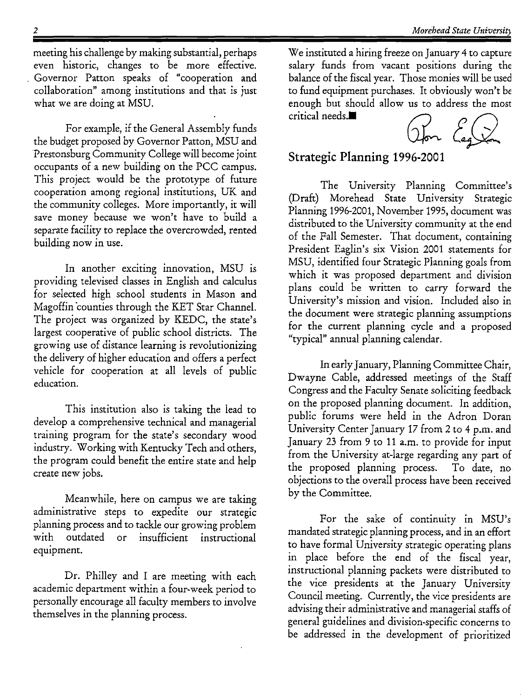meeting his challenge by making substantial, perhaps even historic, changes to be more effective. Governor Patton speaks of "cooperation and collaboration" among institutions and that is just what we are doing at MSU.

For example, if the General Assembly funds the budget proposed by Governor Patton, MSU and Prestonsburg Community College will become joint occupants of a new building on the PCC campus. This project would be the prototype of future cooperation among regional institutions, UK and the community colleges. More importantly, it will save money because we won't have to build a separate facility to replace the overcrowded, rented building now in use.

In another exciting innovation, MSU is providing televised classes in English and calculus for selected high school students in Mason and Magoffin 'counties through the KET Star Channel. The project was organized by KEDC, the state's largest cooperative of public school districts. The growing use of distance learning is revolutionizing the delivery of higher education and offers a perfect vehicle for cooperation at all levels of public education.

This institution also is taking the lead to develop a comprehensive technical and managerial training program for the state's secondary wood industry. Working with Kentucky Tech and others, the program could benefit the entire state and help create new jobs.

Meanwhile, here on campus we are taking administrative steps to expedite our strategic planning process and to tackle our growing problem with outdated or insufficient instructional equipment.

Dr. Philley and I are meeting with each academic department within a four-week period to personally encourage all faculty members to involve themselves in the planning process.

We instituted a hiring freeze on January 4 to capture salary funds from vacant positions during the balance of the fiscal year. Those monies will be used to fund equipment purchases. It obviously won't be enough but should allow us to address the most<br>
critical needs. $\blacksquare$ 



# **Strategic Planning 1996-2001**

The University Planning Committee's (Draft) Morehead State University Strategic Planning 1996-2001, November 1995, document was distributed to the University community at the end of the Fall Semester. That document, containing President Eaglin's six Vision 2001 statements for MSU, identified four Strategic Planning goals from which it was proposed department and division plans could be written to carry forward the University's mission and vision. Included also in the document were strategic planning assumptions for the current planning cycle and a proposed "typical" annual planning calendar.

In early January, Planning Committee Chair, Dwayne Cable, addressed meetings of the Staff Congress and the Faculty Senate soliciting feedback on the proposed planning document. In addition, public forums were held in the Adron Doran University Center January 17 from 2 to 4 p.m. and January 23 from 9 to 11 a.m. to provide for input from the University at-large regarding any part of the proposed planning process. To date, no objections to the overall process have been received by the Committee.

For the sake of continuity in MSU's mandated strategic planning process, and in an effort to have formal University strategic operating plans in place before the end of the fiscal year, instructional planning packets were distributed to the vice presidents at the January University Council meeting. Currently, the vice presidents are advising their administrative and managerial staffs of general guidelines and division-specific concerns to be addressed in the development of prioritized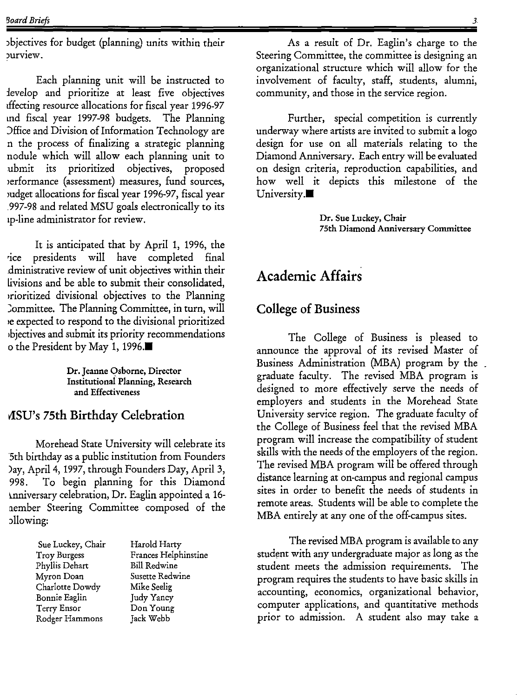Jbjectives for budget (planning) units within their purview.

Each planning unit will be instructed to :levelop and prioritize at least five objectives dfecting resource allocations for fiscal year 1996-97 md fiscal year 1997-98 budgets. The Planning )ffice and Division of Information Technology are n the process of finalizing a strategic planning nodule which will allow each planning unit to ubmit its prioritized objectives, proposed >erformance (assessment) measures, fund sources, mdget allocations for fiscal year 1996-97, fiscal year . 997-98 and related MSU goals electronically to its 1p-line administrator for review.

It is anticipated that by April 1, 1996, the •ice presidents will have completed final .dministrative review of unit objectives within their livisions and be able to submit their consolidated, prioritized divisional objectives to the Planning Committee. The Planning Committee, in turn, will 1e expected to respond to the divisional prioritized 1bjectives and submit its priority recommendations o the President by May 1, 1996.

> Dr. Jeanne Osborne, Director Institutional Planning, Research and Effectiveness

# vlSU's 7Sth Birthday Celebration

Morehead State University will celebrate its 5th birthday as a public institution from Founders )ay, April 4, 1997, through Founders Day, April 3, 998. To begin planning for this Diamond ~nniversary celebration, Dr. Eaglin appointed a l6 nember Steering Committee composed of the Jllowing:

| Sue Luckey, Chair | Harold Harty         |
|-------------------|----------------------|
| Troy Burgess      | Frances Helphinstine |
| Phyllis Dehart    | <b>Bill Redwine</b>  |
| Myron Doan        | Susette Redwine      |
| Charlotte Dowdy   | Mike Seelig          |
| Bonnie Eaglin     | Judy Yancy           |
| Terry Ensor       | Don Young            |
| Rodger Hammons    | Jack Webb            |

As a result of Dr. Eaglin's charge to the Steering Committee, the committee is designing an organizational structure which will allow for the involvement of faculty, staff, students, alumni, community, and those in the service region.

Further, special competition is currently underway where artists are invited to submit a logo design for use on all materials relating to the Diamond Anniversary. Each entry will be evaluated on design criteria, reproduction capabilities, and how well it depicts this milestone of the University. $\blacksquare$ 

> Dr. Sue Luckey, Chair 75th Diamond Anniversary Committee

# Academic Affairs

# College of Business

The College of Business is pleased to announce the approval of its revised Master of Business Administration (MBA) program by the graduate faculty. The revised MBA program is designed to more effectively serve the needs of employers and students in the Morehead State University service region. The graduate faculty of the College of Business feel that the revised MBA program will increase the compatibility of student skills with the needs of the employers of the region. The revised MBA program will be offered through distance learning at on-campus and regional campus sites in order to benefit the needs of students in remote areas. Students will be able to complete the MBA entirely at any one of the off-campus sites.

The revised MBA program is available to any student with any undergraduate major as long as the student meets the admission requirements. The program requires the students to have basic skills in accounting, economics, organizational behavior, computer applications, and quantitative methods prior to admission. A student also may take a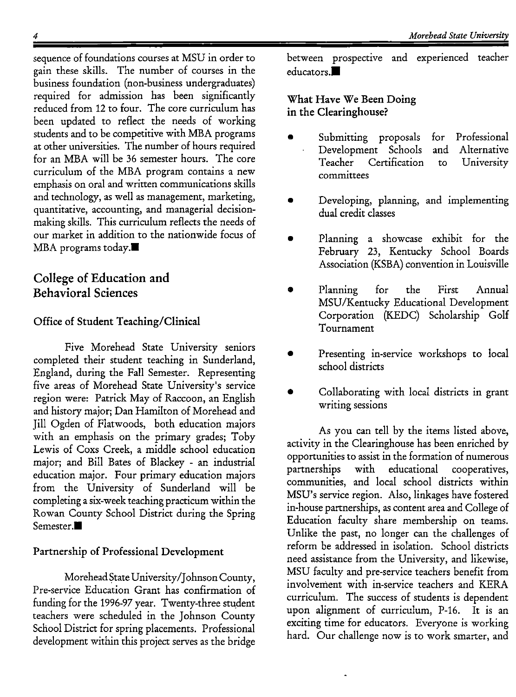sequence of foundations courses at MSU in order to gain these skills. The number of courses in the business foundation (non-business undergraduates) required for admission has been significantly reduced from 12 to four. The core curriculum has been updated to reflect the needs of working students and to be competitive with MBA programs at other universities. The number of hours required for an MBA will be 36 semester hours. The core curriculum of the MBA program contains a new emphasis on oral and written communications skills and technology, as well as management, marketing, quantitative, accounting, and managerial decisionmaking skills. This curriculum reflects the needs of our market in addition to the nationwide focus of MBA programs today. $\blacksquare$ 

# College of Education **and**  Behavioral Sciences

# Office of Student Teaching/Clinical

Five Morehead State University seniors completed their student teaching in Sunderland, England, during the Fall Semester. Representing<br>five arese of Morehaed State University's corries five areas of Morehead State University's service region were: Patrick May of Raccoon, an English and history major; Dan Hamilton of Morehead and Jill Ogden of Flatwoods, both education majors with an emphasis on the primary grades; Toby Lewis of Coxs Creek, a middle school education major; and Bill Bates of Blackey - an industrial education major. Four primary education majors from the University of Sunderland will be completing a six-week teaching practicum within the Rowan County School District during the Spring Semester.<sup>11</sup>

# Partnership of Professional Development

Morehead State University/Johnson County, Pre-service Education Grant has confirmation of funding for the 1996-97 year. Twenty-three student teachers were scheduled in the Johnson County School District for spring placements. Professional development within this project serves as the bridge between prospective and experienced teacher educators. $\blacksquare$ 

# What Have We Been Doing in the Clearinghouse?

- Submitting proposals Development Schools<br>Teacher Certification Certification committees for Professional and Alternative to University
- Developing, planning, and implementing dual credit classes
- Planning a showcase exhibit for the February 23, Kentucky School Boards Association (KSBA) convention in Louisville
- Planning for the First Annual MSU/Kentucky Educational Development Corporation (KEDC) Scholarship Golf Tournament
- Presenting in-service workshops to local school districts
- Collaborating with local districts in grant writing sessions

As you can tell by the items listed above, activity in the Clearinghouse has been enriched by opportunities to assist in the formation of numerous partnerships with educational cooperatives, communities, and local school districts within MSU's service region. Also, linkages have fostered in-house partnerships, as content area and College of Education faculty share membership on teams. Unlike the past, no longer can the challenges of reform be addressed in isolation. School districts need assistance from the University, and likewise, MSU faculty and pre-service teachers benefit from involvement with in-service teachers and KERA curriculum. The success of students is dependent upon alignment of curriculum, P-16. It is an exciting time for educators. Everyone is working hard. Our challenge now is to work smarter, and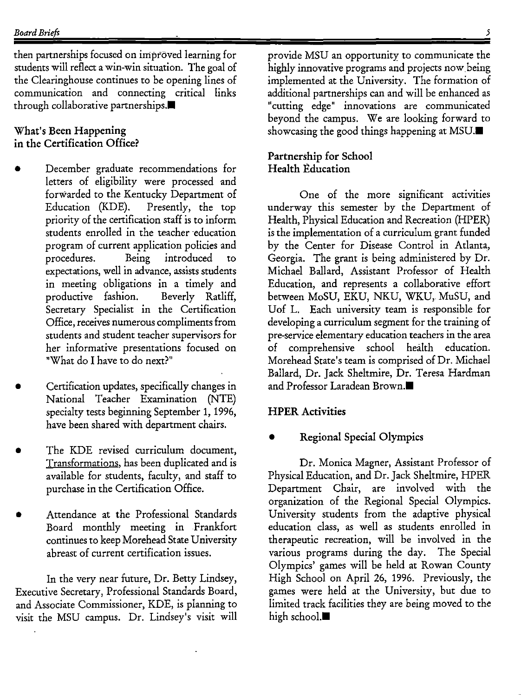then partnerships focused on improved learning for students will reflect a win-win situation. The goal of the Clearinghouse continues to be opening lines of communication and connecting critical links through collaborative partnerships. $\blacksquare$ 

# What's Been Happening in the Certification Office?

- December graduate recommendations for letters of eligibility were processed and forwarded to the Kentucky Department of Education (KDE). Presently, the top priority of the certification staff is to inform students enrolled in the teacher education program of current application policies and procedures. Being introduced to expectations, well in advance, assists students in meeting obligations in a timely and productive fashion. Beverly Ratliff, Secretary Specialist in the Certification Office, receives numerous compliments from students and student teacher supervisors for her informative presentations focused on "What do I have to do next?"
- Certification updates, specifically changes in National Teacher Examination (NTE) specialty tests beginning September 1, 1996, have been shared with department chairs.
- The KDE revised curriculum document, Transformations, has been duplicated and is available for students, faculty, and staff to purchase in the Certification Office.
- Attendance at the Professional Standards Board monthly meeting in Frankfort continues to keep Morehead State University abreast of current certification issues.

In the very near future, Dr. Betty Lindsey, Executive Secretary, Professional Standards Board, and Associate Commissioner, KDE, is planning to visit the MSU campus. Dr. Lindsey's visit will

5

provide MSU an opportunity to communicate the highly innovative programs and projects now.being implemented at the University. The formation of additional partnerships can and will be enhanced as "cutting edge" innovations are communicated beyond the campus. We are looking forward to showcasing the good things happening at MSU. $\blacksquare$ 

# Partnership for School Health Education

One of the more significant activities underway this semester by the Department of Health, Physical Education and Recreation (HPER) is the implementation of a curriculum grant funded by the Center for Disease Control in Atlanta, Georgia. The grant is being administered by Dr. Michael Ballard, Assistant Professor of Health Education, and represents a collaborative effort between MoSU, EKU, NKU, WKU, MuSU, and Uof L. Each university team is responsible for developing a curriculum segment for the training of pre-service elementary education teachers in the area of comprehensive school health education. Morehead State's team is comprised of Dr. Michael Ballard, Dr. Jack Sheltmire, Dr. Teresa Hardman and Professor Laradean Brown.<sup>11</sup>

# HPER Activities

# • Regional Special Olympics

Dr. Monica Magner, Assistant Professor of Physical Education, and Dr. Jack Sheltmire, HPER Department Chair, are involved with the organization of the Regional Special Olympics. University students from the adaptive physical education class, as well as students enrolled in therapeutic recreation, will be involved in the various programs during the day. The Special Olympics' games will be held at Rowan County High School on April 26, 1996. Previously, the games were held at the University, but due to limited track facilities they are being moved to the high school. $\blacksquare$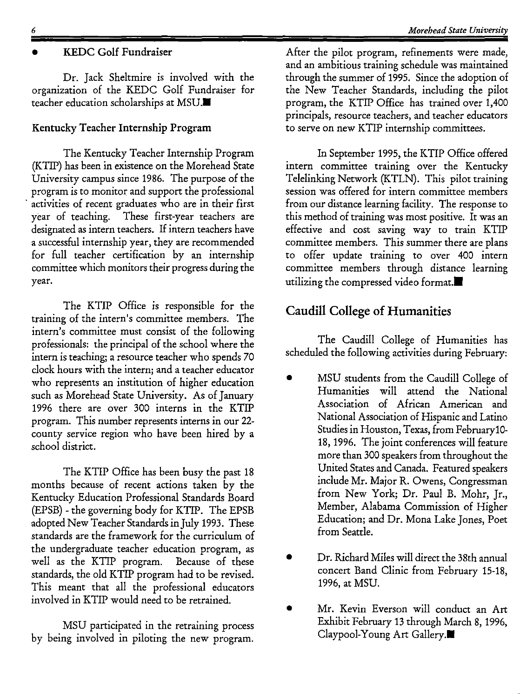# • KEDC Golf Fundraiser

Dr. Jack Sheltmire is involved with the organization of the KEDC Golf Fundraiser for teacher education scholarships at MSU.<sup>11</sup>

### Kentucky Teacher Internship Program

The Kentucky Teacher Internship Program (KTIP) has been in existence on the Morehead State University campus since 1986. The purpose of the program is to monitor and support the professional activities of recent graduates who are in their first year of teaching. These first-year teachers are designated as intern teachers. If intern teachers have a successful internship year, they are recommended for full teacher certification by an internship committee which monitors their progress during the year.

The KTIP Office is responsible for the training of the intern's committee members. The intern's committee must consist of the following professionals: the principal of the school where the intern is teaching; a resource teacher who spends 70 clock hours with the intern; and a teacher educator who represents an institution of higher education such as Morehead State University. As of January 1996 there are over 300 interns in the KTIP program. This number represents interns in our 22 county service region who have been hired by a school district.

The KTIP Office has been busy the past 18 months because of recent actions taken by the Kentucky Education Professional Standards Board (EPSB) - the governing body for KTIP. The EPSB adopted New Teacher Standards in July 1993. These standards are the framework for the curriculum of the undergraduate teacher education program, as well as the KTIP program. Because of these standards, the old KTIP program had to be revised. This meant that all the professional educators involved in KTIP would need to be retrained.

MSU participated in the retraining process by being involved in piloting the new program.

After the pilot program, refinements were made, and an ambitious training schedule was maintained through the summer of 1995. Since the adoption of the New Teacher Standards, including the pilot program, the KTIP Office has trained over 1,400 principals, resource teachers, and teacher educators to serve on new KTIP internship committees.

In September 1995, the KTIP Office offered intern committee training over the Kentucky Telelinking Network (KTLN). This pilot training session was offered for intern committee members from our distance learning facility. The response to this method of training was most positive. It was an effective and cost saving way to train KTIP committee members. This summer there are plans to offer update training to over 400 intern committee members through distance learning utilizing the compressed video format. $\blacksquare$ 

# Caudill College of Humanities

The Caudill College of Humanities has scheduled the following activities during February:

- MSU students from the Caudill College of Humanities will attend the National Association of African American and National Association of Hispanic and Latino Studies in Houston, Texas, from Februaryl0- 18, 1996. The joint conferences will feature more than 300 speakers from throughout the United States and Canada. Featured speakers include Mr. Major R. Owens, Congressman from New York; Dr. Paul B. Mohr, Jr., Member, Alabama Commission of Higher Education; and Dr. Mona Lake Jones, Poet from Seattle.
- Dr. Richard Miles will direct the 38th annual concert Band Clinic from February 15-18, 1996, at MSU.
- Mr. Kevin Everson will conduct an Art Exhibit February 13 through March 8, 1996, Claypool-Young Art Gallery.•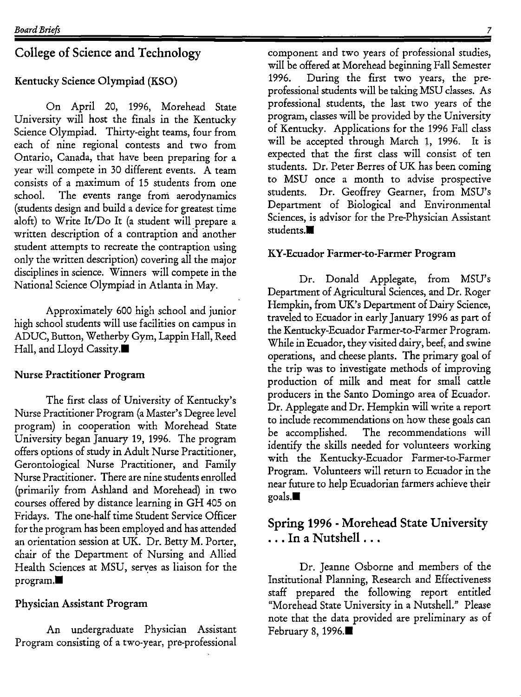# College of Science and Technology

### Kentucky Science Olympiad (KSO)

On April 20, 1996, Morehead State University will host the finals in the Kentucky Science Olympiad. Thirty-eight teams, four from each of nine regional contests and two from Ontario, Canada, that have been preparing for a year will compete in 30 different events. A team consists of a maximum of 15 students from one school. The events range from aerodynamics (students design and build a device for greatest time aloft) to Write It/Do It (a student will prepare a written description of a contraption and another student attempts to recreate the contraption using only the written description) covering all the major disciplines in science. Winners will compete in the National Science Olympiad in Atlanta in May.

Approximately 600 high school and junior high school students will use facilities on campus in ADUC, Button, Wetherby Gym, Lappin Hall, Reed Hall, and Lloyd Cassity.

### Nurse Practitioner Program

The first class of University of Kentucky's Nurse Practitioner Program (a Master's Degree level program) in cooperation with Morehead State University began January 19, 1996. The program offers options of study in Adult Nurse Practitioner, Gerontological Nurse Practitioner, and Family Nurse Practitioner. There are nine students enrolled (primarily from Ashland and Morehead) in two courses offered by distance learning in GH 405 on Fridays. The one-half time Student Service Officer for the program has been employed and has attended an orientation session at UK. Dr. Betty M. Porter, chair of the Department of Nursing and Allied Health Sciences at MSU, serves as liaison for the  $program.$ 

### Physician Assistant Program

An undergraduate Physician Assistant Program consisting of a two-year, pre-professional component and two years of professional studies, will be offered at Morehead beginning Fall Semester 1996. During the first two years, the preprofessional students will be taking MSU classes. As professional students, the last two years of the program, classes will be provided by the University of Kentucky. Applications for the 1996 Fall class will be accepted through March 1, 1996. It is expected that the first class will consist of ten students. Dr. Peter Berres of UK has been coming to MSU once a month to advise prospective students. Dr. Geoffrey Gearner, from MSU's Department of Biological and Environmental Sciences, is advisor for the Pre-Physician Assistant students.<sup>11</sup>

### KY-Ecuador Farmer-to-Farmer Program

Dr. Donald Applegate, from MSU's Department of Agricultural Sciences, and Dr. Roger Hempkin, from UK's Department of Dairy Science, traveled to Ecuador in early January 1996 as part of the Kentucky-Ecuador Farmer-to-Farmer Program. While in Ecuador, they visited dairy, beef, and swine operations, and cheese plants. The primary goal of the trip was to investigate methods of improving production of milk and meat for small cattle producers in the Santo Domingo area of Ecuador. Dr. Applegate and Dr. Hempkin will write a report to include recommendations on how these goals can be accomplished. The recommendations will identify the skills needed for volunteers working with the Kentucky-Ecuador Farmer-to-Farmer Program. Volunteers will return to Ecuador in the near future to help Ecuadorian farmers achieve their  $\mathbf{goals}.\blacksquare$ 

# Spring 1996 - Morehead State University ... In a Nutshell ...

Dr. Jeanne Osborne and members of the Institutional Planning, Research and Effectiveness staff prepared the following report entitled "Morehead State University in a Nutshell." Please note that the data provided are preliminary as of February 8, 1996. $\blacksquare$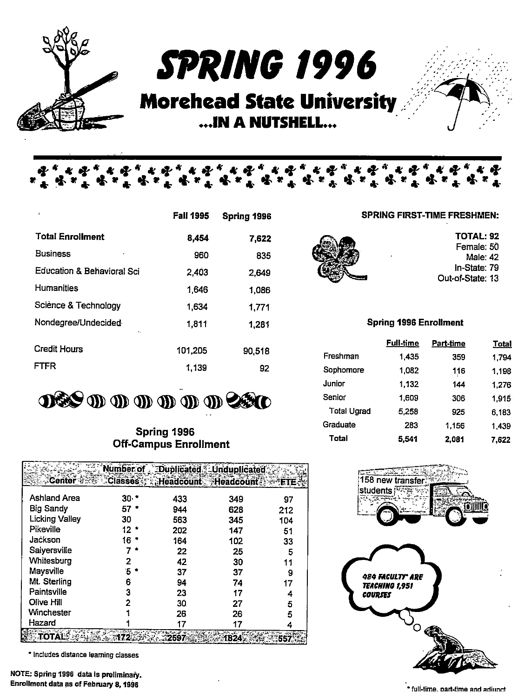

*S'P'RlllG 1996*  . . . ·.;· ·' · ..

# **Morehead State University** ••• IN **A NUTSHELL •••**

\* & &

k it

|                            | <b>Fall 1995</b> | Spring 1996 |
|----------------------------|------------------|-------------|
| <b>Total Enrollment</b>    | 8,454            | 7,622       |
| <b>Business</b><br>٠       | 960              | 835         |
| Education & Behavioral Sci | 2,403            | 2,649       |
| <b>Humanities</b>          | 1,646            | 1,086       |
| Sciènce & Technology       | 1,634            | 1,771       |
| Nondegree/Undecided<br>٠.  | 1,811            | 1,281       |
| Credit Hours               | 101,205          | 90,518      |
| FTFR                       | 1,139            | 92          |

i s

\* \* \*

\* \* \*

**DES 10 10 10 10 10 26 10** 

### Spring 1996 Off-Campus Enrollment

|                       | mber or |                             | ∄Duplicated ≸⊹Unduplicated |     |
|-----------------------|---------|-----------------------------|----------------------------|-----|
| Centei                |         | Classes Headcount Headcount |                            |     |
| Ashland Area          | 30·     | 433                         | 349                        | 97  |
| <b>Big Sandy</b>      | 57      | 944                         | 628                        | 212 |
| <b>Licking Valley</b> | 30      | 563                         | 345                        | 104 |
| Pikeville             | 12.     | 202                         | 147                        | 51  |
| Jackson               | 16      | 164                         | 102                        | 33  |
| Salyersville          |         | 22                          | 25                         | 5   |
| Whitesburg            |         | 42                          | 30                         | 11  |
| Maysville             | ъ       | 37                          | 37                         | 9   |
| Mt. Sterling          | 6       | 94                          | 74                         | 17  |
| Paintsville           | 3       | 23                          | 17                         |     |
| Olive Hill            |         | 30                          | 27                         | 5   |
| Winchester            |         | 26                          | 26                         | 5   |
| Hazard                |         |                             |                            |     |
|                       |         |                             |                            |     |

• Includes distance learning classes

£

TOTAL: 92 Female: 50 Male:42

In-State: 79

Out-of-State: 13

### Spring 1996 Enrollment

SPRING FIRST-TIME FRESHMEN:

k ol

|                    | <b>Full-time</b> | Part-time | Total |
|--------------------|------------------|-----------|-------|
| Freshman           | 1.435            | 359       | 1.794 |
| Sophomore          | 1.082            | 116       | 1,198 |
| <b>Junior</b>      | 1.132            | 144       | 1.276 |
| Senior             | 1,609            | 306       | 1,915 |
| <b>Total Ugrad</b> | 5.258            | 925       | 6,183 |
| Graduate           | 283              | 1.156     | 1,439 |
| Total              | 5.541            | 2.081     | 7.622 |

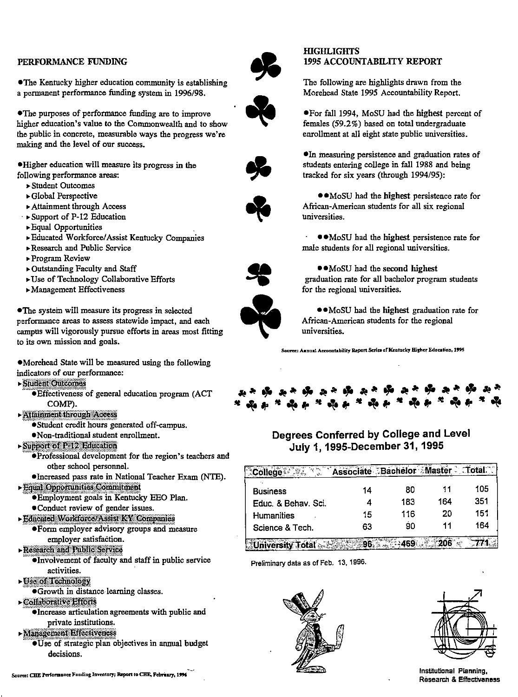### PERFORMANCE FUNDING

•The Kentucky higher education community is establishing a permanent performance funding system in 1996/98.

•The purposes of performance funding are to improve higher education's value to the Commonwealth and to show **the public in concrete, measurable ways the progress we're**  making and the level of our success.

•Higher education will measure its progress in the following performance areas:

- •Student Outcomes
- •Global Perspective
- •Attainment through Access
- · •Support of P-12 Education
- •Equal Opportunities
- •Educated Workforce/ Assist Kentucky Companies
- •Research and Public Service
- **"'"Program Review**
- •Outstanding Faculty and Staff
- •Use of Technology Collaborative Efforts
- $\blacktriangleright$  Management Effectiveness

•The system will measure its progress in selected **performance areas to assess statewide impact, and each**  campus will vigorously pursue efforts in areas most fitting **to its own mission and goals.** 

•Morehead State will be measured using the following **indicators of our performance:** 

- 
- ► Student Outcomes<br>● Effectiveness of general education program (ACT COMP).
- 
- ► Attainment through Access<br>● Student credit hours generated off-campus.
- Non-traditional student enrollment.<br>• Support of P.12 Education
- - **•Professional development for the region's teachers and** other school personnel.
- •Increased pass rate in National Teacher Exam (NTE).
- - **•Employment goals in Kentucky EEO Plan.**
	- **•Conduct review of gender issues.**
- ·~@Sl!iM':\\tl!iq~lmMJ§Wl:\ifsml@ •Form employer advisory groups and measure
- employer satisfaction.<br>Research and Public Service
	-
	- •Involvement of faculty and staff in public service
- activities.<br>• Use of Technology
	- •Growth in distance learning classes.
- Collaborative Efforts
	- •Increase articulation agreements with public and private institutions.
- 
- ·~M.l!mmf\mtw!!f!li~ •Use of strategic plan objectives in annual budget **decisions.**



### **HIGHLIGHTS** 1995 ACCOUNTABILITY REPORT

The following are highlights drawn from the Morehead State 1995 Accountability Report.

 $\bullet$ •For fall 1994, MoSU had the highest percent of females (59.2%) based on total undergraduate enrollment at all eight state public universities.

> $\bullet$ In measuring persistence and graduation rates of students entering college in fall 1988 and being tracked for six years (through 1994/95):

> ••MoSU had the highest persistence rate for African-American students for all six regional **universities.**

> • •Mo SU had the highest persistence rate for male students for all regional universities.

••MoSU had the second highest graduation rate for all bachelor program students

for the regional universities.



••Mo SU had the highest graduation rate for African-American students for the regional **universities.** 

Source: Amuual Accountability Report Series of Kentucky Higher Education, 1995



# **Degrees Conferred by College and Level July 1, 1995-December 31, 1995**

|                     | ∵Ba | ichelor ∵Master |     | Total |
|---------------------|-----|-----------------|-----|-------|
| <b>Business</b>     | 14  | 80              | 11  | 105   |
| Educ. & Behav. Sci. |     | 183             | 164 | 351   |
| <b>Humanities</b>   | 15  | 116             | 20  | 151   |
| Science & Tech.     | 63  | 90              |     | 164   |
|                     |     |                 |     |       |

**Preliminary data as of Feb. 13, 1996.** 





**Institutional Planning, Research & Effectiveness** 

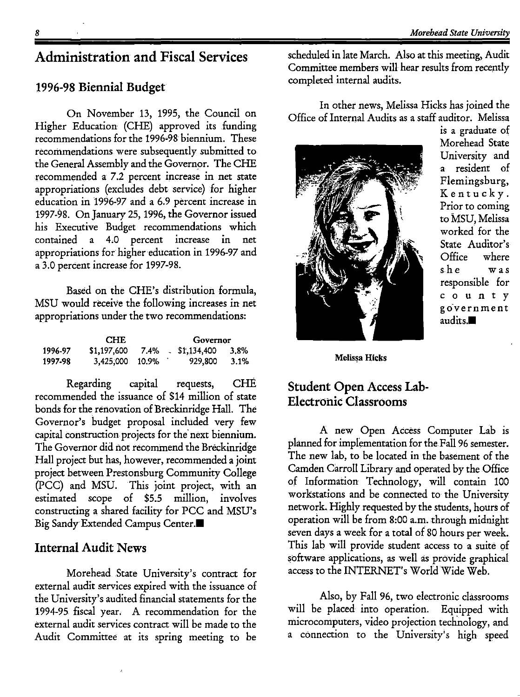# **Administration and Fiscal Services**

### **1996-98 Biennial Budget**

On November 13, 1995, the Council on Higher Education (CHE) approved its funding recommendations for the 1996•98 biennium. These recommendations were subsequently submitted to the General Assembly and the Governor. The CHE recommended a 7.2 percent increase in net state appropriations (excludes debt service) for higher education in 1996-97 and a 6.9 percent increase in 1997-98. On January 25, 1996, the Governor issued his Executive Budget recommendations which contained a 4.0 percent increase in net appropriations for higher education in 1996-97 and a 3.0 percent increase for 1997-98.

Based on the CHE's distribution formula, MSU would receive the following increases in net appropriations under the two recommendations:

| <b>CHE</b> |             |         | Governor |             |         |
|------------|-------------|---------|----------|-------------|---------|
| 1996-97    | \$1,197,600 | 7.4%    |          | \$1,134,400 | $3.8\%$ |
| 1997-98    | 3,425,000   | - 10.9% |          | 929,800     | $3.1\%$ |

Regarding capital requests, CHE recommended the issuance of \$14 million of state bonds for the renovation of Breckinridge Hall. The Governor's budget proposal included very few capital construction projects for the' next biennium. The Governor did not recommend the Breckinridge Hall project but has, however, recommended a joint project between Prestonsburg Community College (PCG) and MSU. This joint project, with an estimated scope of \$5.5 million, involves constructing a shared facility for PCC and MSU's Big Sandy Extended Campus Center.

### **Internal Audit News**

Morehead State University's contract for external audit services expired with the issuance of the University's audited financial statements for the 1994-95 fiscal year. A recommendation for the external audit services contract will be made to the Audit Committee at its spring meeting to be

scheduled in late March. Also at this meeting, Audit Committee members will hear results from recently completed internal audits.

In other news, Melissa Hicks has joined the Office of Internal Audits as a staff auditor. Melissa



is a graduate of Morehead State University and a resident of Flemingsburg, Kentucky. Prior to coming to MSU, Melissa worked for the State Auditor's Office where she was responsible for county government audits. $\blacksquare$ 

**Melissa Hicks** 

# **Student Open Access Lab-Electronic Classrooms**

A new Open Access Computer Lab is planned for implementation for the Fall 96 semester. The new lab, to be located in the basement of the Camden Carroll Library and operated by the Office of Information Technology, will contain 100 workstations and be connected to the University network. Highly requested by the students, hours of operation will be from 8:00 a.m. through midnight seven days a week for a total of 80 hours per week. This lab will provide student access to a suite of software applications, as well as provide graphical access to the INTERNET's World Wide Web.

Also, by Fall 96, two electronic classrooms will be placed into operation. Equipped with microcomputers, video projection technology, and a connection to the University's high speed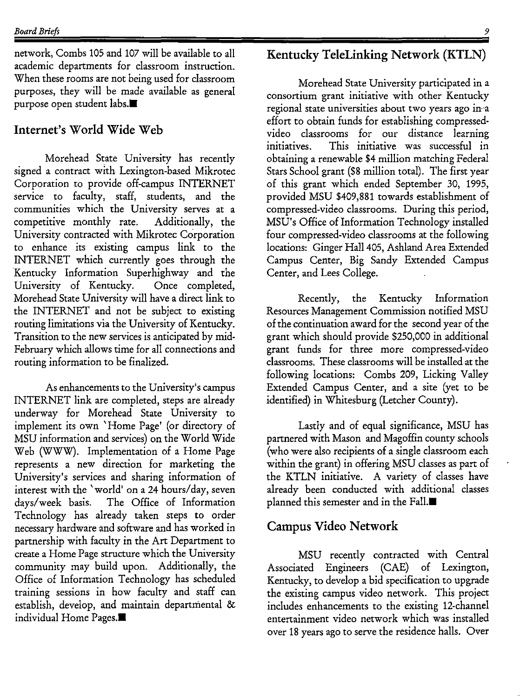network, Combs 105 and 107 will be available to all academic departments for classroom instruction. When these rooms are not being used for classroom purposes, they will be made available as general purpose open student labs.<sup>1</sup>

# **Internet's World Wide Web**

Morehead State University has recently signed a contract with Lexington-based Mikrotec Corporation to provide off-campus INTERNET service to faculty, staff, students, and the communities which the University serves at a competitive monthly rate. Additionally, the University contracted with Mikrotec Corporation to enhance its existing campus link to the INTERNET which currently goes through the Kentucky Information Superhighway and the University of Kentucky. Once completed, Morehead State University will have a direct link to the INTERNET and not be subject to existing routing limitations via the University of Kentucky. Transition to the new services is anticipated by mid-February which allows time for all connections and routing information to be finalized.

As enhancements to the University's campus INTERNET link are completed, steps are already underway for Morehead State University to implement its own 'Home Page' (or directory of MSU information and services) on the World Wide Web (WWW). Implementation of a Home Page represents a new direction for marketing the University's services and sharing information of interest with the 'world' on a 24 hours/day, seven days/week basis. The Office of Information Technology has already taken steps to order necessary hardware and software and has worked in partnership with faculty in the Art Department to create a Home Page structure which the University community may build upon. Additionally, the Office of Information Technology has scheduled training sessions in how faculty and staff can establish, develop, and maintain departmental & individual Home Pages. $\blacksquare$ 

# **Kentucky TeleLinking Network (KTLN)**

Morehead State University participated in a consortium grant initiative with other Kentucky regional state universities about two years ago in-a effort to obtain funds for establishing compressedvideo classrooms for our distance learning initiatives. This initiative was successful in obtaining a renewable \$4 million matching Federal Stars School grant (\$8 million total). The first year of this grant which ended September 30, 1995, provided MSU \$409,881 towards establishment of compressed-video classrooms. During this period, MSU's Office of Information Technology installed four compressed-video classrooms at the following locations: Ginger Hall 405, Ashland Area Extended Campus Center, Big Sandy Extended Campus Center, and Lees College.

Recently, the Kentucky Information Resources Management Commission notified MSU of the continuation award for the second year of the grant which should provide \$250,000 in additional grant funds for three more compressed-video classrooms. These classrooms will be installed at the following locations: Combs 209, Licking Valley Extended Campus Center, and a site (yet to be identified) in Whitesburg (Letcher County).

Lastly and of equal significance, MSU has partnered with Mason and Magoffin county schools (who were also recipients of a single classroom each within the grant) in offering MSU classes as part of the KTLN initiative. A variety of classes have already been conducted with additional classes planned this semester and in the Fall. $\blacksquare$ 

# **Campus Video Network**

MSU recently contracted with Central Associated Engineers (CAE) of Lexington, Kentucky, to develop a bid specification to upgrade the existing campus video network. This project includes enhancements to the existing 12-channel entertainment video network which was installed over 18 years ago to serve the residence halls. Over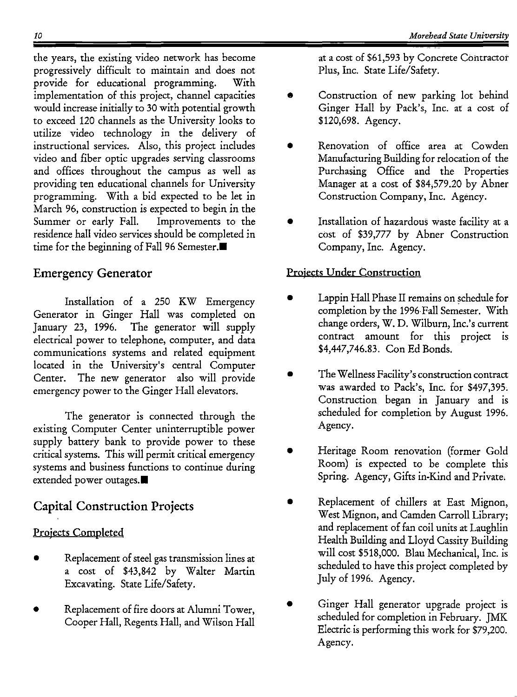the years, the existing video network has become progressively difficult to maintain and does not provide for educational programming. With implementation of this project, channel capacities would increase initially to 30 with potential growth to exceed 120 channels as the University looks to utilize video technology in the delivery of instructional services. Also, this project includes video and fiber optic upgrades serving classrooms and offices throughout the campus as well as providing ten educational channels for University programming. With a bid expected to be let in March 96, construction is expected to begin in the Summer or early Fall. Improvements to the residence hall video services should be completed in time for the beginning of Fall 96 Semester. $\blacksquare$ 

# Emergency Generator

Installation of a 250 KW Emergency Generator in Ginger Hall was completed on January 23, 1996. The generator will supply electrical power to telephone, computer, and data communications systems and related equipment located in the University's central Computer Center. The new generator also will provide emergency power to the Ginger Hall elevators.

The generator is connected through the existing Computer Center uninterruptible power supply battery bank to provide power to these critical systems. This will permit critical emergency systems and business functions to continue during extended power outages. $\blacksquare$ 

# Capital Construction Projects

# Projects Completed

- Replacement of steel gas transmission lines at a cost of \$43,842 by Walter Martin Excavating. State Life/Safety.
- Replacement of fire doors at Alumni Tower, Cooper Hall, Regents. Hall, and Wilson Hall

at a cost of \$61,593 by Concrete Contractor Plus, Inc. State Life/Safety.

- Construction of new parking lot behind Ginger Hall by Pack's, Inc. at a cost of \$120,698. Agency.
- Renovation of office area at Cowden Manufacturing Buildingfor relocation of the Purchasing Office and the Properties Manager at a cost of \$84,579.20 by Abner Construction Company, Inc. Agency.
- Installation of hazardous waste facility at a cost of \$39,777 by Abner Construction Company, Inc. Agency.

# Projects Under Construction

- Lappin Hall Phase II remains on schedule for completion by the 1996 Fall Semester. With change orders, W. D. Wilburn, Inc.'s current contract amount for this project is \$4,447,746.83. Con Ed Bonds.
- The Wellness Facility's construction contract was awarded to Pack's, Inc. for \$497,395. Construction began in January and is scheduled for completion by August 1996. Agency.
- Heritage Room renovation (former Gold Room) is expected to be complete this Spring. Agency, Gifts in-Kind and Private,
- Replacement of chillers at East Mignon, West Mignon, and Camden Carroll Library; and replacement of fan coil units at Laughlin Health Building and Lloyd Cassity Building will cost \$518,000. Blau Mechanical, Inc. is scheduled to have this project completed by July of 1996. Agency.
- Ginger Hall generator upgrade project is scheduled for completion in February. JMK Electric is performing this work for \$79,200. Agency.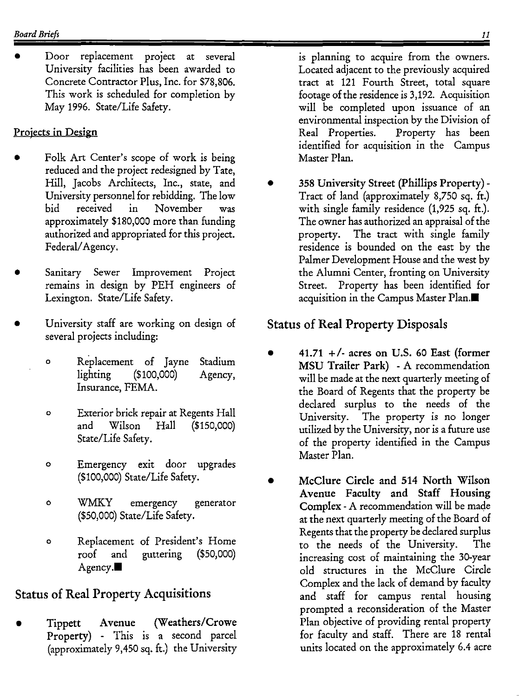Door replacement project at several University facilities has been awarded to Concrete Contractor Plus, Inc. for \$78,806. This work is scheduled for completion by May 1996. State/Life Safety.

# Projects in Design

- Folk Art Center's scope of work is being reduced and the project redesigned by Tate, Hill, Jacobs Architects, Inc., state, and University personnel for rebidding. The low bid received in November was approximately \$180,000 more than funding authorized and appropriated for this project. Federal/ Agency.
- Sanitary Sewer Improvement Project remains in design by PEH engineers of Lexington. State/Life Safety.
- University staff are working on design of several projects including:
	- o Replacement of Jayne Stadium lighting (\$100,000) Agency, Insurance, FEMA.
	- o Exterior brick repair at Regents Hall and Wilson Hall (\$150,000) State/Life Safety.
	- o Emergency exit door upgrades (\$100,000) State/Life Safety.
	- o WMKY emergency generator (\$50,000) State/Life Safety.
	- 0 Replacement of President's Home roof and Agency. guttering (\$50,000)

# Status of Real Property Acquisitions

• Tippett Avenue (Weathers/Crowe Property) - This is a second parcel (approximately 9,450 sq. ft.) the University is planning to acquire from the owners. Located adjacent to the previously acquired tract at 121 Fourth Street, total square footage of the residence is 3,192. Acquisition will be completed upon issuance of an environmental inspection by the Division of Real Properties. Property has been identified for acquisition in the Campus Master Plan.

• 358 University Street (Phillips Property) - Tract of land (approximately 8,750 sq. ft.) with single family residence (1,925 sq. ft.). The owner has authorized an appraisal of the property. The tract with single family residence is bounded on the east by the Palmer Development House and the west by the Alumni Center, fronting on University Street. Property has been identified for acquisition in the Campus Master Plan.<sup>1</sup>

# Status of Real Property Disposals

- 41.71  $+/-$  acres on U.S. 60 East (former MSU Trailer Park) - A recommendation will be made at the next quarterly meeting of the Board of Regents that the property be declared surplus to the needs of the University. The property is no longer utilized by the University, nor is a future use of the property identified in the Campus Master Plan.
- McClure Circle and 514 North Wilson Avenue Faculty and Staff Housing Complex - A recommendation will be made at the next quarterly meeting of the Board of Regents that the property be declared surplus to the needs of the University. The increasing cost of maintaining the 30-year old structures in the McClure Circle Complex and the lack of demand by faculty and staff for campus rental housing prompted a reconsideration of the Master Plan objective of providing rental property for faculty and staff. There are 18 rental units located on the approximately 6.4 acre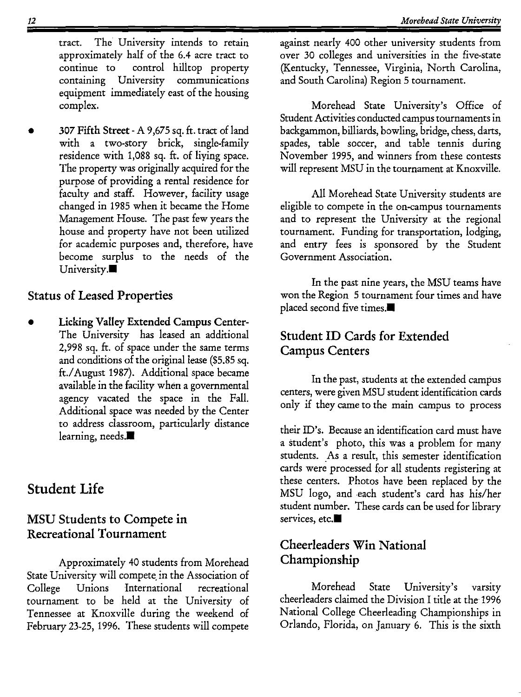tract. The University intends to retain approximately half of the 6.4 acre tract to continue to control hilltop property containing University communications equipment immediately east of the housing complex.

• 307 Fifth Street - A 9 ,675 sq. ft. tract of land with a two-story brick, single-family residence with 1,088 sq. ft. of liying space. The property was originally acquired for the purpose of providing a rental residence for faculty and staff. However, facility usage changed in 1985 when it became the Home Management House. The past few years the house and property have not been utilized for academic purposes and, therefore, have become surplus to the needs of the University.

# Status of Leased Properties

Licking Valley Extended Campus Center-The University has leased an additional 2,998 sq. ft. of space under the same terms and conditions of the original lease (\$5.85 sq. ft./August 1987). Additional space became available in the facility when a governmental agency vacated the space in the Fall. Additional space was needed by the Center to address classroom, particularly distance learning, needs.

# Student Life

# MSU Students to Compete in Recreational Tournament

Approximately 40 students from Morehead State University will compete in the Association of College Unions International recreational tournament to be held at the University of Tennessee at Knoxville during the weekend of February 23-25, 1996. These students will compete against nearly 400 other university students from over 30 colleges and universities in the five-state (Kentucky, Tennessee, Virginia, North Carolina, and South Carolina) Region 5 tournament.

Morehead State University's Office of Student Activities conducted campus tournaments in backgammon, billiards, bowling, bridge, chess, darts, spades, table soccer, and table tennis during November 1995, and winners from these contests will represent MSU in the tournament at Knoxville.

All Morehead State University students are eligible to compete in the on-campus tournaments and to represent the University at the regional tournament. Funding for transportation, lodging, and entry fees is sponsored by the Student Government Association.

In the past nine years, the MSU teams have won the Region 5 tournament four times and have placed second five times. $\blacksquare$ 

# Student ID Cards for Extended Campus Centers

In the past, students at the extended campus centers, were given MSU student identification cards only if they came to the main campus to process

their ID's. Because an identification card must have a student's photo, this was a problem for many students. As a result, this semester identification cards were processed for all students registering at these centers. Photos have been replaced by the MSU logo, and each student's card has his/her student number. These cards can be used for library services, etc.<sup>1</sup>

# Cheerleaders Win National Championship

Morehead State University's varsity cheerleaders claimed the Division I title at the 1996 National College Cheerleading Championships in Orlando, Florida, on January 6. This is the sixth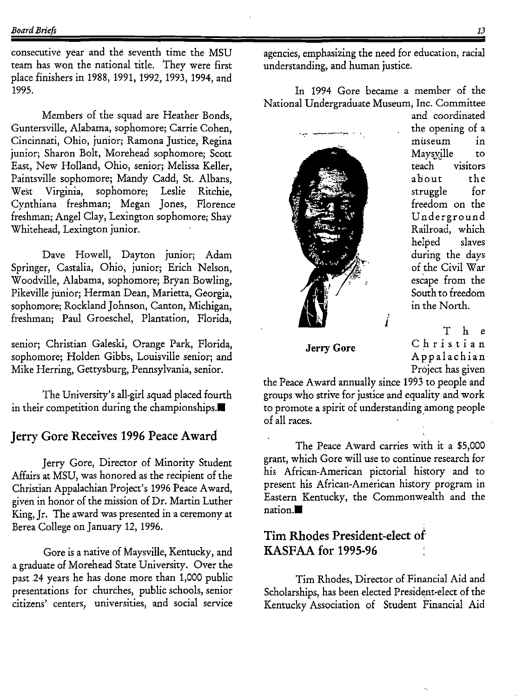consecutive year and the seventh time the MSU team has won the national title. They were first place finishers in 1988, 1991, 1992, 1993, 1994, and 1995.

Members of the squad are Heather Bonds, Guntersville, Alabama, sophomore; Carrie Cohen, Cincinnati, Ohio, junior; Ramona Justice, Regina junior; Sharon Bolt, Morehead sophomore; Scott East, New Holland, Ohio, senior; Melissa Keller, Paintsville sophomore; Mandy Cadd, St. Albans, West Virginia, sophomore; Leslie Ritchie, Cynthiana freshman; Megan Jones, Florence freshman; Angel Clay, Lexington sophomore; Shay Whitehead, Lexington junior.

Dave Howell, Dayton junior; Adam Springer, Castalia, Ohio, junior; Erich Nelson, Woodville, Alabama, sophomore; Bryan Bowling, Pikeville junior; Herman Dean, Marietta, Georgia, sophomore; Rockland Johnson, Canton, Michigan, freshman; Paul Groeschel, Plantation, Florida,

senior; Christian Galeski, Orange Park, Florida, sophomore; Holden Gibbs, Louisville senior; and Mike Herring, Gettysburg, Pennsylvania, senior.

The University's all-girl squad placed fourth in their competition during the championships. $\blacksquare$ 

## **Jerry Gore Receives 1996 Peace Award**

Jerry Gore, Director of Minority Student Affairs at MSU, was honored a5 the recipient of the Christian Appalachian Project's 1996 Peace Award, given in honor of the mission of Dr. Martin Luther King, Jr. The award was presented in a ceremony at Berea College on January 12, 1996.

Gore is a native of Maysville, Kentucky, and a graduate of Morehead State University. Over the past 24 years he has done more than 1,000 public presentations for churches, public schools, senior Citizens' centers, universities, and social service agencies, emphasizing the need for education, racial understanding, and human justice.

In 1994 Gore became a member of the National Undergraduate Museum, Inc. Committee



and coordinated the opening of a museum in Maysyille to teach visitors about the struggle for freedom on the Underground Railroad, which helped slaves during the days of the Civil War escape from the South to freedom in the North.

**Jerry Gore** 

T h e Christian Appalachian Project has given

the Peace Award annually since 1993 to people and groups who strive for justice and equality and work to promote a spirit of understanding among people of all races.

The Peace Award carries with it a \$5,000 grant, which Gore will use to continue research for his African-American pictorial history and to present his African-American history program in Eastern Kentucky, the Commonwealth and the  $nation.$ 

# **Tim Rhodes President-elect of KASF AA for 1995-96**

Tim Rhodes, Director of Financial Aid and Scholarships, has been elected President-elect of the Kentucky Association of Student Financial Aid